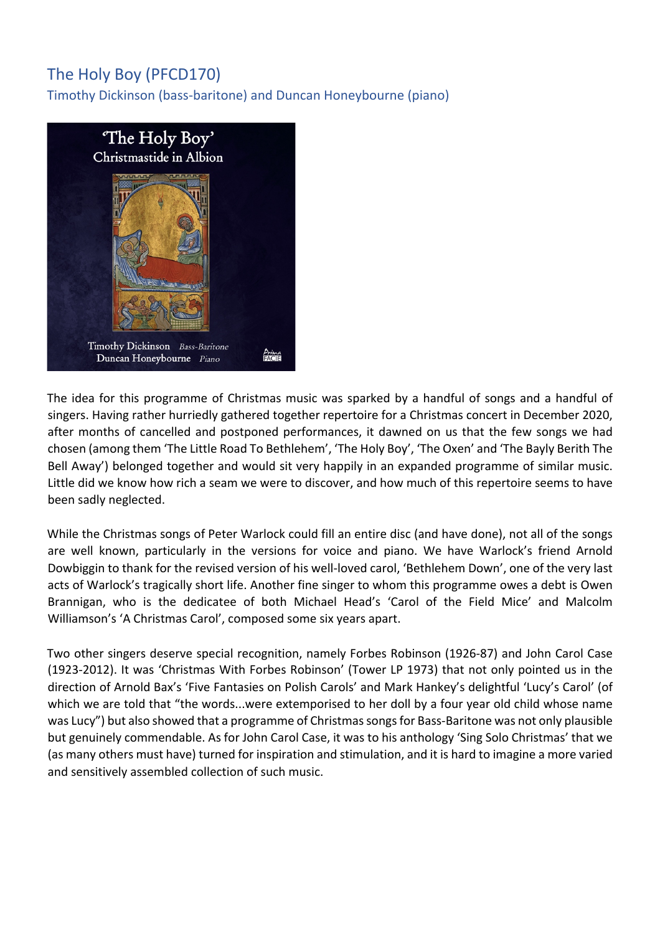## The Holy Boy (PFCD170)

Timothy Dickinson (bass-baritone) and Duncan Honeybourne (piano)



The idea for this programme of Christmas music was sparked by a handful of songs and a handful of singers. Having rather hurriedly gathered together repertoire for a Christmas concert in December 2020, after months of cancelled and postponed performances, it dawned on us that the few songs we had chosen (among them 'The Little Road To Bethlehem', 'The Holy Boy', 'The Oxen' and 'The Bayly Berith The Bell Away') belonged together and would sit very happily in an expanded programme of similar music. Little did we know how rich a seam we were to discover, and how much of this repertoire seems to have been sadly neglected.

While the Christmas songs of Peter Warlock could fill an entire disc (and have done), not all of the songs are well known, particularly in the versions for voice and piano. We have Warlock's friend Arnold Dowbiggin to thank for the revised version of his well-loved carol, 'Bethlehem Down', one of the very last acts of Warlock's tragically short life. Another fine singer to whom this programme owes a debt is Owen Brannigan, who is the dedicatee of both Michael Head's 'Carol of the Field Mice' and Malcolm Williamson's 'A Christmas Carol', composed some six years apart.

Two other singers deserve special recognition, namely Forbes Robinson (1926-87) and John Carol Case (1923-2012). It was 'Christmas With Forbes Robinson' (Tower LP 1973) that not only pointed us in the direction of Arnold Bax's 'Five Fantasies on Polish Carols' and Mark Hankey's delightful 'Lucy's Carol' (of which we are told that "the words...were extemporised to her doll by a four year old child whose name was Lucy") but also showed that a programme of Christmas songs for Bass-Baritone was not only plausible but genuinely commendable. As for John Carol Case, it was to his anthology 'Sing Solo Christmas' that we (as many others must have) turned for inspiration and stimulation, and it is hard to imagine a more varied and sensitively assembled collection of such music.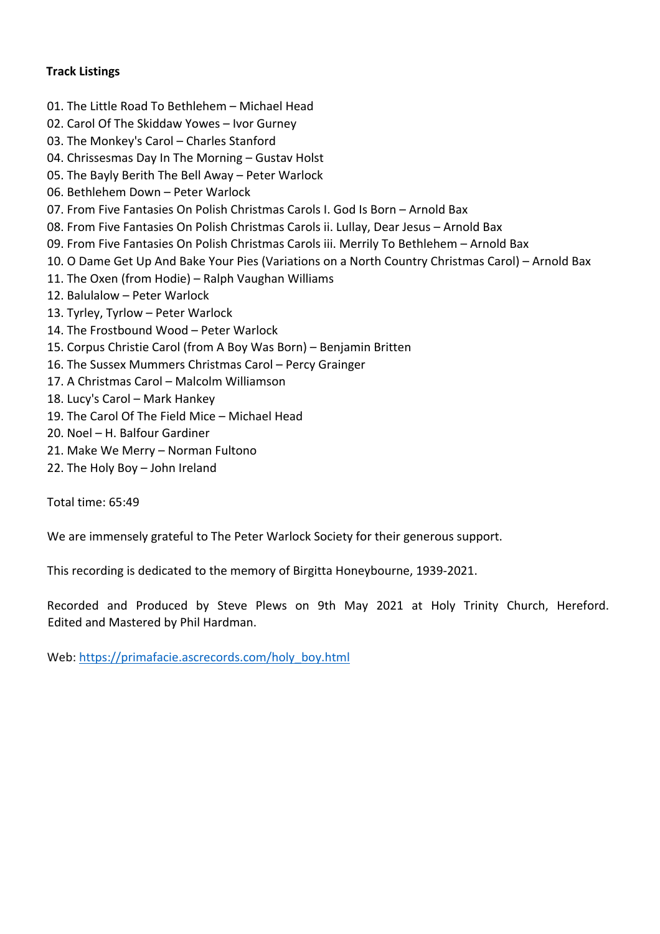## **Track Listings**

- 01. The Little Road To Bethlehem Michael Head
- 02. Carol Of The Skiddaw Yowes Ivor Gurney
- 03. The Monkey's Carol Charles Stanford
- 04. Chrissesmas Day In The Morning Gustav Holst
- 05. The Bayly Berith The Bell Away Peter Warlock
- 06. Bethlehem Down Peter Warlock
- 07. From Five Fantasies On Polish Christmas Carols I. God Is Born Arnold Bax
- 08. From Five Fantasies On Polish Christmas Carols ii. Lullay, Dear Jesus Arnold Bax
- 09. From Five Fantasies On Polish Christmas Carols iii. Merrily To Bethlehem Arnold Bax
- 10. O Dame Get Up And Bake Your Pies (Variations on a North Country Christmas Carol) Arnold Bax
- 11. The Oxen (from Hodie) Ralph Vaughan Williams
- 12. Balulalow Peter Warlock
- 13. Tyrley, Tyrlow Peter Warlock
- 14. The Frostbound Wood Peter Warlock
- 15. Corpus Christie Carol (from A Boy Was Born) Benjamin Britten
- 16. The Sussex Mummers Christmas Carol Percy Grainger
- 17. A Christmas Carol Malcolm Williamson
- 18. Lucy's Carol Mark Hankey
- 19. The Carol Of The Field Mice Michael Head
- 20. Noel H. Balfour Gardiner
- 21. Make We Merry Norman Fultono
- 22. The Holy Boy John Ireland

Total time: 65:49

We are immensely grateful to The Peter Warlock Society for their generous support.

This recording is dedicated to the memory of Birgitta Honeybourne, 1939-2021.

Recorded and Produced by Steve Plews on 9th May 2021 at Holy Trinity Church, Hereford. Edited and Mastered by Phil Hardman.

Web: https://primafacie.ascrecords.com/holy\_boy.html